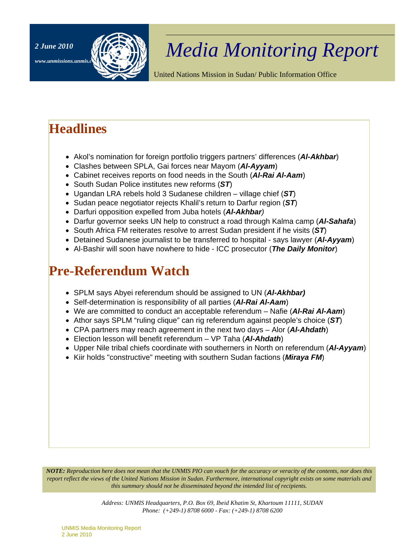

# <sup>2 June 2010</sup> **All** *Media Monitoring Report*

United Nations Mission in Sudan/ Public Information Office

## **Headlines**

- Akol's nomination for foreign portfolio triggers partners' differences (*Al-Akhbar*)
- Clashes between SPLA, Gai forces near Mayom (*Al-Ayyam*)
- Cabinet receives reports on food needs in the South (*Al-Rai Al-Aam*)
- South Sudan Police institutes new reforms (*ST*)
- Ugandan LRA rebels hold 3 Sudanese children village chief (*ST*)
- Sudan peace negotiator rejects Khalil's return to Darfur region (*ST*)
- Darfuri opposition expelled from Juba hotels (*Al-Akhbar)*
- Darfur governor seeks UN help to construct a road through Kalma camp (*Al-Sahafa*)
- South Africa FM reiterates resolve to arrest Sudan president if he visits (*ST*)
- Detained Sudanese journalist to be transferred to hospital says lawyer (*Al-Ayyam*)
- Al-Bashir will soon have nowhere to hide ICC prosecutor (*The Daily Monitor*)

## **Pre-Referendum Watch**

- SPLM says Abyei referendum should be assigned to UN (*Al-Akhbar)*
- Self-determination is responsibility of all parties (*Al-Rai Al-Aam*)
- We are committed to conduct an acceptable referendum Nafie (*Al-Rai Al-Aam*)
- Athor says SPLM "ruling clique" can rig referendum against people's choice (*ST*)
- CPA partners may reach agreement in the next two days Alor (*Al-Ahdath*)
- Election lesson will benefit referendum VP Taha (*Al-Ahdath*)
- Upper Nile tribal chiefs coordinate with southerners in North on referendum (*Al-Ayyam*)
- Kiir holds "constructive" meeting with southern Sudan factions (*Miraya FM*)

*NOTE: Reproduction here does not mean that the UNMIS PIO can vouch for the accuracy or veracity of the contents, nor does this report reflect the views of the United Nations Mission in Sudan. Furthermore, international copyright exists on some materials and this summary should not be disseminated beyond the intended list of recipients.* 

> *Address: UNMIS Headquarters, P.O. Box 69, Ibeid Khatim St, Khartoum 11111, SUDAN Phone: (+249-1) 8708 6000 - Fax: (+249-1) 8708 6200*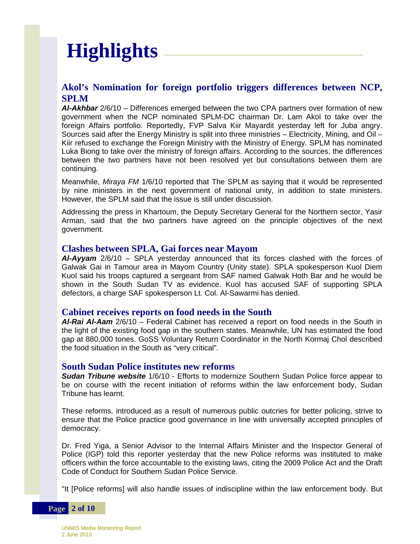# **Highlights**

### **Akol's Nomination for foreign portfolio triggers differences between NCP, SPLM**

*Al-Akhbar* 2/6/10 – Differences emerged between the two CPA partners over formation of new government when the NCP nominated SPLM-DC chairman Dr. Lam Akol to take over the foreign Affairs portfolio. Reportedly, FVP Salva Kiir Mayardit yesterday left for Juba angry. Sources said after the Energy Ministry is split into three ministries – Electricity, Mining, and Oil – Kiir refused to exchange the Foreign Ministry with the Ministry of Energy. SPLM has nominated Luka Biong to take over the ministry of foreign affairs. According to the sources, the differences between the two partners have not been resolved yet but consultations between them are continuing.

Meanwhile, *Miraya FM* 1/6/10 reported that The SPLM as saying that it would be represented by nine ministers in the next government of national unity, in addition to state ministers. However, the SPLM said that the issue is still under discussion.

Addressing the press in Khartoum, the Deputy Secretary General for the Northern sector, Yasir Arman, said that the two partners have agreed on the principle objectives of the next government.

#### **Clashes between SPLA, Gai forces near Mayom**

*Al-Ayyam* 2/6/10 – SPLA yesterday announced that its forces clashed with the forces of Galwak Gai in Tamour area in Mayom Country (Unity state). SPLA spokesperson Kuol Diem Kuol said his troops captured a sergeant from SAF named Galwak Hoth Bar and he would be shown in the South Sudan TV as evidence. Kuol has accused SAF of supporting SPLA defectors, a charge SAF spokesperson Lt. Col. Al-Sawarmi has denied.

#### **Cabinet receives reports on food needs in the South**

*Al-Rai Al-Aam* 2/6/10 – Federal Cabinet has received a report on food needs in the South in the light of the existing food gap in the southern states. Meanwhile, UN has estimated the food gap at 880,000 tones. GoSS Voluntary Return Coordinator in the North Kormaj Chol described the food situation in the South as "very critical".

#### **South Sudan Police institutes new reforms**

*Sudan Tribune website* 1/6/10 - Efforts to modernize Southern Sudan Police force appear to be on course with the recent initiation of reforms within the law enforcement body, Sudan Tribune has learnt.

These reforms, introduced as a result of numerous public outcries for better policing, strive to ensure that the Police practice good governance in line with universally accepted principles of democracy.

Dr. Fred Yiga, a Senior Advisor to the Internal Affairs Minister and the Inspector General of Police (IGP) told this reporter yesterday that the new Police reforms was instituted to make officers within the force accountable to the existing laws, citing the 2009 Police Act and the Draft Code of Conduct for Southern Sudan Police Service.

"It [Police reforms] will also handle issues of indiscipline within the law enforcement body. But

**Page 2 of 10**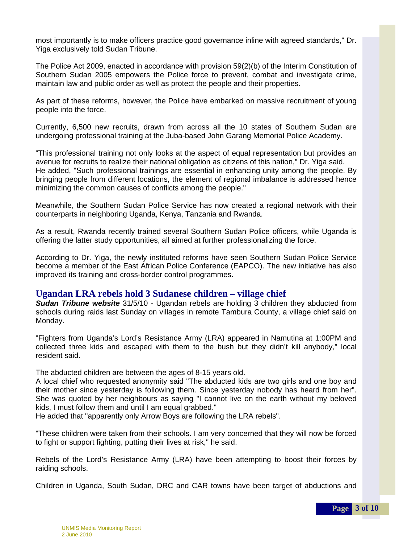most importantly is to make officers practice good governance inline with agreed standards," Dr. Yiga exclusively told Sudan Tribune.

The Police Act 2009, enacted in accordance with provision 59(2)(b) of the Interim Constitution of Southern Sudan 2005 empowers the Police force to prevent, combat and investigate crime, maintain law and public order as well as protect the people and their properties.

As part of these reforms, however, the Police have embarked on massive recruitment of young people into the force.

Currently, 6,500 new recruits, drawn from across all the 10 states of Southern Sudan are undergoing professional training at the Juba-based John Garang Memorial Police Academy.

"This professional training not only looks at the aspect of equal representation but provides an avenue for recruits to realize their national obligation as citizens of this nation," Dr. Yiga said. He added, "Such professional trainings are essential in enhancing unity among the people. By bringing people from different locations, the element of regional imbalance is addressed hence minimizing the common causes of conflicts among the people."

Meanwhile, the Southern Sudan Police Service has now created a regional network with their counterparts in neighboring Uganda, Kenya, Tanzania and Rwanda.

As a result, Rwanda recently trained several Southern Sudan Police officers, while Uganda is offering the latter study opportunities, all aimed at further professionalizing the force.

According to Dr. Yiga, the newly instituted reforms have seen Southern Sudan Police Service become a member of the East African Police Conference (EAPCO). The new initiative has also improved its training and cross-border control programmes.

#### **Ugandan LRA rebels hold 3 Sudanese children – village chief**

*Sudan Tribune website* 31/5/10 - Ugandan rebels are holding 3 children they abducted from schools during raids last Sunday on villages in remote Tambura County, a village chief said on Monday.

"Fighters from Uganda's Lord's Resistance Army (LRA) appeared in Namutina at 1:00PM and collected three kids and escaped with them to the bush but they didn't kill anybody," local resident said.

The abducted children are between the ages of 8-15 years old.

A local chief who requested anonymity said "The abducted kids are two girls and one boy and their mother since yesterday is following them. Since yesterday nobody has heard from her". She was quoted by her neighbours as saying "I cannot live on the earth without my beloved kids, I must follow them and until I am equal grabbed."

He added that "apparently only Arrow Boys are following the LRA rebels".

"These children were taken from their schools. I am very concerned that they will now be forced to fight or support fighting, putting their lives at risk," he said.

Rebels of the Lord's Resistance Army (LRA) have been attempting to boost their forces by raiding schools.

Children in Uganda, South Sudan, DRC and CAR towns have been target of abductions and

**Page 3 of 10**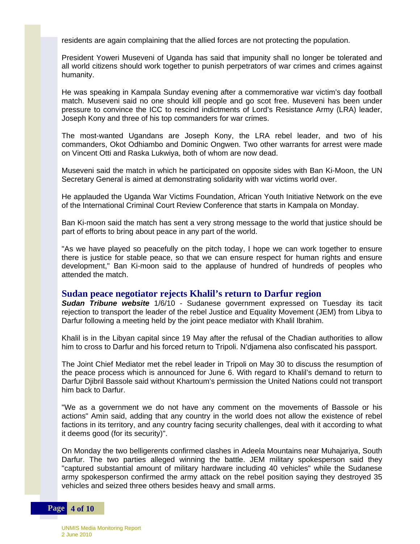residents are again complaining that the allied forces are not protecting the population.

President Yoweri Museveni of Uganda has said that impunity shall no longer be tolerated and all world citizens should work together to punish perpetrators of war crimes and crimes against humanity.

He was speaking in Kampala Sunday evening after a commemorative war victim's day football match. Museveni said no one should kill people and go scot free. Museveni has been under pressure to convince the ICC to rescind indictments of Lord's Resistance Army (LRA) leader, Joseph Kony and three of his top commanders for war crimes.

The most-wanted Ugandans are Joseph Kony, the LRA rebel leader, and two of his commanders, Okot Odhiambo and Dominic Ongwen. Two other warrants for arrest were made on Vincent Otti and Raska Lukwiya, both of whom are now dead.

Museveni said the match in which he participated on opposite sides with Ban Ki-Moon, the UN Secretary General is aimed at demonstrating solidarity with war victims world over.

He applauded the Uganda War Victims Foundation, African Youth Initiative Network on the eve of the International Criminal Court Review Conference that starts in Kampala on Monday.

Ban Ki-moon said the match has sent a very strong message to the world that justice should be part of efforts to bring about peace in any part of the world.

"As we have played so peacefully on the pitch today, I hope we can work together to ensure there is justice for stable peace, so that we can ensure respect for human rights and ensure development," Ban Ki-moon said to the applause of hundred of hundreds of peoples who attended the match.

#### **Sudan peace negotiator rejects Khalil's return to Darfur region**

*Sudan Tribune website* 1/6/10 - Sudanese government expressed on Tuesday its tacit rejection to transport the leader of the rebel Justice and Equality Movement (JEM) from Libya to Darfur following a meeting held by the joint peace mediator with Khalil Ibrahim.

Khalil is in the Libyan capital since 19 May after the refusal of the Chadian authorities to allow him to cross to Darfur and his forced return to Tripoli. N'djamena also confiscated his passport.

The Joint Chief Mediator met the rebel leader in Tripoli on May 30 to discuss the resumption of the peace process which is announced for June 6. With regard to Khalil's demand to return to Darfur Djibril Bassole said without Khartoum's permission the United Nations could not transport him back to Darfur.

"We as a government we do not have any comment on the movements of Bassole or his actions" Amin said, adding that any country in the world does not allow the existence of rebel factions in its territory, and any country facing security challenges, deal with it according to what it deems good (for its security)".

On Monday the two belligerents confirmed clashes in Adeela Mountains near Muhajariya, South Darfur. The two parties alleged winning the battle. JEM military spokesperson said they "captured substantial amount of military hardware including 40 vehicles" while the Sudanese army spokesperson confirmed the army attack on the rebel position saying they destroyed 35 vehicles and seized three others besides heavy and small arms.

#### **Page 4 of 10**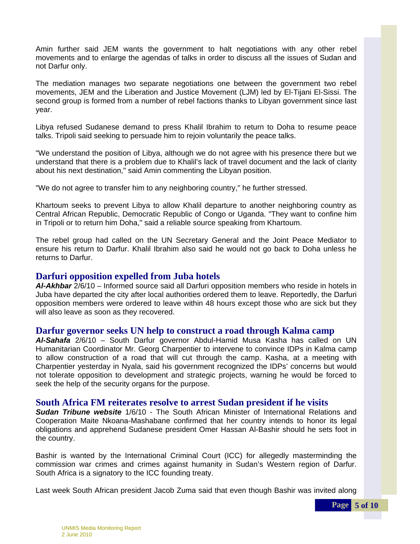Amin further said JEM wants the government to halt negotiations with any other rebel movements and to enlarge the agendas of talks in order to discuss all the issues of Sudan and not Darfur only.

The mediation manages two separate negotiations one between the government two rebel movements, JEM and the Liberation and Justice Movement (LJM) led by El-Tijani El-Sissi. The second group is formed from a number of rebel factions thanks to Libyan government since last year.

Libya refused Sudanese demand to press Khalil Ibrahim to return to Doha to resume peace talks. Tripoli said seeking to persuade him to rejoin voluntarily the peace talks.

"We understand the position of Libya, although we do not agree with his presence there but we understand that there is a problem due to Khalil's lack of travel document and the lack of clarity about his next destination," said Amin commenting the Libyan position.

"We do not agree to transfer him to any neighboring country," he further stressed.

Khartoum seeks to prevent Libya to allow Khalil departure to another neighboring country as Central African Republic, Democratic Republic of Congo or Uganda. "They want to confine him in Tripoli or to return him Doha," said a reliable source speaking from Khartoum.

The rebel group had called on the UN Secretary General and the Joint Peace Mediator to ensure his return to Darfur. Khalil Ibrahim also said he would not go back to Doha unless he returns to Darfur.

#### **Darfuri opposition expelled from Juba hotels**

 Juba have departed the city after local authorities ordered them to leave. Reportedly, the Darfuri *Al-Akhbar* 2/6/10 – Informed source said all Darfuri opposition members who reside in hotels in opposition members were ordered to leave within 48 hours except those who are sick but they will also leave as soon as they recovered.

#### **Darfur governor seeks UN help to construct a road through Kalma camp**

*Al-Sahafa* 2/6/10 – South Darfur governor Abdul-Hamid Musa Kasha has called on UN Humanitarian Coordinator Mr. Georg Charpentier to intervene to convince IDPs in Kalma camp to allow construction of a road that will cut through the camp. Kasha, at a meeting with Charpentier yesterday in Nyala, said his government recognized the IDPs' concerns but would not tolerate opposition to development and strategic projects, warning he would be forced to seek the help of the security organs for the purpose.

#### **South Africa FM reiterates resolve to arrest Sudan president if he visits**

 Cooperation Maite Nkoana-Mashabane confirmed that her country intends to honor its legal *Sudan Tribune website* 1/6/10 - The South African Minister of International Relations and obligations and apprehend Sudanese president Omer Hassan Al-Bashir should he sets foot in the country.

Bashir is wanted by the International Criminal Court (ICC) for allegedly masterminding the commission war crimes and crimes against humanity in Sudan's Western region of Darfur. South Africa is a signatory to the ICC founding treaty.

Last week South African president Jacob Zuma said that even though Bashir was invited along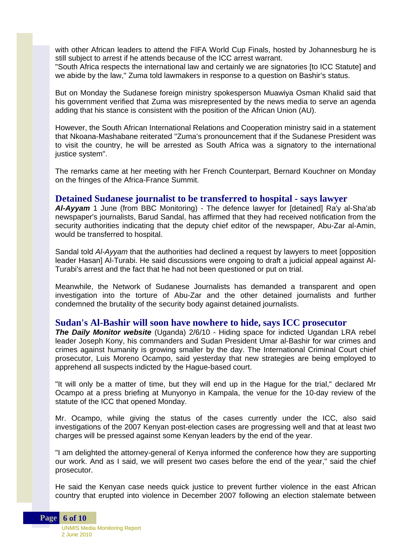with other African leaders to attend the FIFA World Cup Finals, hosted by Johannesburg he is still subject to arrest if he attends because of the ICC arrest warrant.

"South Africa respects the international law and certainly we are signatories [to ICC Statute] and we abide by the law," Zuma told lawmakers in response to a question on Bashir's status.

But on Monday the Sudanese foreign ministry spokesperson Muawiya Osman Khalid said that his government verified that Zuma was misrepresented by the news media to serve an agenda adding that his stance is consistent with the position of the African Union (AU).

However, the South African International Relations and Cooperation ministry said in a statement that Nkoana-Mashabane reiterated "Zuma's pronouncement that if the Sudanese President was to visit the country, he will be arrested as South Africa was a signatory to the international justice system".

The remarks came at her meeting with her French Counterpart, Bernard Kouchner on Monday on the fringes of the Africa-France Summit.

#### **Detained Sudanese journalist to be transferred to hospital - says lawyer**

*Al-Ayyam* 1 June (from BBC Monitoring) - The defence lawyer for [detained] Ra'y al-Sha'ab newspaper's journalists, Barud Sandal, has affirmed that they had received notification from the security authorities indicating that the deputy chief editor of the newspaper, Abu-Zar al-Amin, would be transferred to hospital.

Sandal told *Al-Ayyam* that the authorities had declined a request by lawyers to meet [opposition leader Hasan] Al-Turabi. He said discussions were ongoing to draft a judicial appeal against Al-Turabi's arrest and the fact that he had not been questioned or put on trial.

Meanwhile, the Network of Sudanese Journalists has demanded a transparent and open investigation into the torture of Abu-Zar and the other detained journalists and further condemned the brutality of the security body against detained journalists.

#### **Sudan's Al-Bashir will soon have nowhere to hide, says ICC prosecutor**

*The Daily Monitor website* (Uganda) 2/6/10 - Hiding space for indicted Ugandan LRA rebel leader Joseph Kony, his commanders and Sudan President Umar al-Bashir for war crimes and crimes against humanity is growing smaller by the day. The International Criminal Court chief prosecutor, Luis Moreno Ocampo, said yesterday that new strategies are being employed to apprehend all suspects indicted by the Hague-based court.

"It will only be a matter of time, but they will end up in the Hague for the trial," declared Mr Ocampo at a press briefing at Munyonyo in Kampala, the venue for the 10-day review of the statute of the ICC that opened Monday.

Mr. Ocampo, while giving the status of the cases currently under the ICC, also said investigations of the 2007 Kenyan post-election cases are progressing well and that at least two charges will be pressed against some Kenyan leaders by the end of the year.

"I am delighted the attorney-general of Kenya informed the conference how they are supporting our work. And as I said, we will present two cases before the end of the year," said the chief prosecutor.

He said the Kenyan case needs quick justice to prevent further violence in the east African country that erupted into violence in December 2007 following an election stalemate between

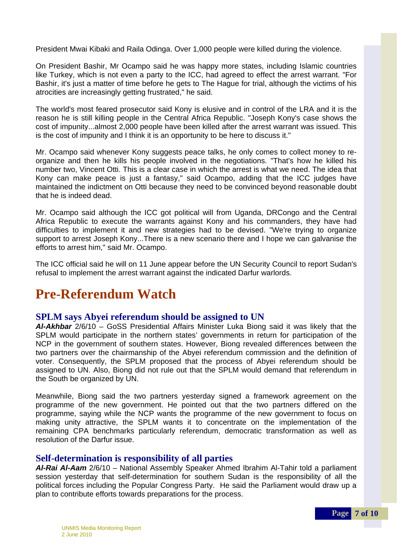President Mwai Kibaki and Raila Odinga. Over 1,000 people were killed during the violence.

On President Bashir, Mr Ocampo said he was happy more states, including Islamic countries like Turkey, which is not even a party to the ICC, had agreed to effect the arrest warrant. "For Bashir, it's just a matter of time before he gets to The Hague for trial, although the victims of his atrocities are increasingly getting frustrated," he said.

The world's most feared prosecutor said Kony is elusive and in control of the LRA and it is the reason he is still killing people in the Central Africa Republic. "Joseph Kony's case shows the cost of impunity...almost 2,000 people have been killed after the arrest warrant was issued. This is the cost of impunity and I think it is an opportunity to be here to discuss it."

Mr. Ocampo said whenever Kony suggests peace talks, he only comes to collect money to reorganize and then he kills his people involved in the negotiations. "That's how he killed his number two, Vincent Otti. This is a clear case in which the arrest is what we need. The idea that Kony can make peace is just a fantasy," said Ocampo, adding that the ICC judges have maintained the indictment on Otti because they need to be convinced beyond reasonable doubt that he is indeed dead.

Mr. Ocampo said although the ICC got political will from Uganda, DRCongo and the Central Africa Republic to execute the warrants against Kony and his commanders, they have had difficulties to implement it and new strategies had to be devised. "We're trying to organize support to arrest Joseph Kony...There is a new scenario there and I hope we can galvanise the efforts to arrest him," said Mr. Ocampo.

The ICC official said he will on 11 June appear before the UN Security Council to report Sudan's refusal to implement the arrest warrant against the indicated Darfur warlords.

## **Pre-Referendum Watch**

### **SPLM says Abyei referendum should be assigned to UN**

*Al-Akhbar* 2/6/10 – GoSS Presidential Affairs Minister Luka Biong said it was likely that the SPLM would participate in the northern states' governments in return for participation of the NCP in the government of southern states. However, Biong revealed differences between the two partners over the chairmanship of the Abyei referendum commission and the definition of voter. Consequently, the SPLM proposed that the process of Abyei referendum should be assigned to UN. Also, Biong did not rule out that the SPLM would demand that referendum in the South be organized by UN.

Meanwhile, Biong said the two partners yesterday signed a framework agreement on the programme of the new government. He pointed out that the two partners differed on the programme, saying while the NCP wants the programme of the new government to focus on making unity attractive, the SPLM wants it to concentrate on the implementation of the remaining CPA benchmarks particularly referendum, democratic transformation as well as resolution of the Darfur issue.

### **Self-determination is responsibility of all parties**

*Al-Rai Al-Aam* 2/6/10 – National Assembly Speaker Ahmed Ibrahim Al-Tahir told a parliament session yesterday that self-determination for southern Sudan is the responsibility of all the political forces including the Popular Congress Party. He said the Parliament would draw up a plan to contribute efforts towards preparations for the process.

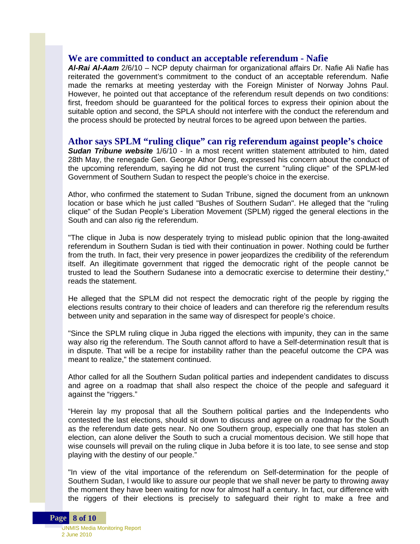#### **We are committed to conduct an acceptable referendum - Nafie**

*Al-Rai Al-Aam* 2/6/10 – NCP deputy chairman for organizational affairs Dr. Nafie Ali Nafie has reiterated the government's commitment to the conduct of an acceptable referendum. Nafie made the remarks at meeting yesterday with the Foreign Minister of Norway Johns Paul. However, he pointed out that acceptance of the referendum result depends on two conditions: first, freedom should be guaranteed for the political forces to express their opinion about the suitable option and second, the SPLA should not interfere with the conduct the referendum and the process should be protected by neutral forces to be agreed upon between the parties.

#### **Athor says SPLM "ruling clique" can rig referendum against people's choice**

*Sudan Tribune website* 1/6/10 - In a most recent written statement attributed to him, dated 28th May, the renegade Gen. George Athor Deng, expressed his concern about the conduct of the upcoming referendum, saying he did not trust the current "ruling clique" of the SPLM-led Government of Southern Sudan to respect the people's choice in the exercise.

Athor, who confirmed the statement to Sudan Tribune, signed the document from an unknown location or base which he just called "Bushes of Southern Sudan". He alleged that the "ruling clique" of the Sudan People's Liberation Movement (SPLM) rigged the general elections in the South and can also rig the referendum.

"The clique in Juba is now desperately trying to mislead public opinion that the long-awaited referendum in Southern Sudan is tied with their continuation in power. Nothing could be further from the truth. In fact, their very presence in power jeopardizes the credibility of the referendum itself. An illegitimate government that rigged the democratic right of the people cannot be trusted to lead the Southern Sudanese into a democratic exercise to determine their destiny," reads the statement.

He alleged that the SPLM did not respect the democratic right of the people by rigging the elections results contrary to their choice of leaders and can therefore rig the referendum results between unity and separation in the same way of disrespect for people's choice.

"Since the SPLM ruling clique in Juba rigged the elections with impunity, they can in the same way also rig the referendum. The South cannot afford to have a Self-determination result that is in dispute. That will be a recipe for instability rather than the peaceful outcome the CPA was meant to realize," the statement continued.

Athor called for all the Southern Sudan political parties and independent candidates to discuss and agree on a roadmap that shall also respect the choice of the people and safeguard it against the "riggers."

"Herein lay my proposal that all the Southern political parties and the Independents who contested the last elections, should sit down to discuss and agree on a roadmap for the South as the referendum date gets near. No one Southern group, especially one that has stolen an election, can alone deliver the South to such a crucial momentous decision. We still hope that wise counsels will prevail on the ruling clique in Juba before it is too late, to see sense and stop playing with the destiny of our people."

"In view of the vital importance of the referendum on Self-determination for the people of Southern Sudan, I would like to assure our people that we shall never be party to throwing away the moment they have been waiting for now for almost half a century. In fact, our difference with the riggers of their elections is precisely to safeguard their right to make a free and

#### UNMIS Media Monitoring Report 2 June 2010 **Page 8 of 10**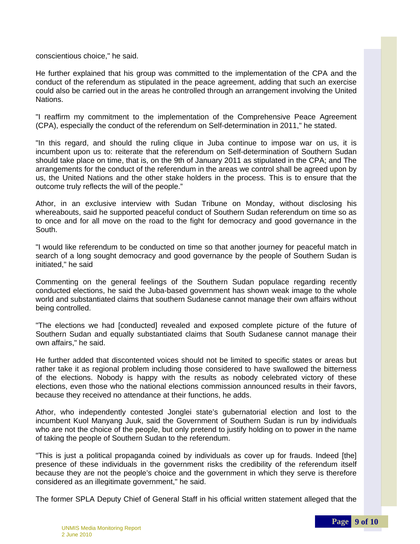conscientious choice," he said.

He further explained that his group was committed to the implementation of the CPA and the conduct of the referendum as stipulated in the peace agreement, adding that such an exercise could also be carried out in the areas he controlled through an arrangement involving the United Nations.

"I reaffirm my commitment to the implementation of the Comprehensive Peace Agreement (CPA), especially the conduct of the referendum on Self-determination in 2011," he stated.

"In this regard, and should the ruling clique in Juba continue to impose war on us, it is incumbent upon us to: reiterate that the referendum on Self-determination of Southern Sudan should take place on time, that is, on the 9th of January 2011 as stipulated in the CPA; and The arrangements for the conduct of the referendum in the areas we control shall be agreed upon by us, the United Nations and the other stake holders in the process. This is to ensure that the outcome truly reflects the will of the people."

Athor, in an exclusive interview with Sudan Tribune on Monday, without disclosing his whereabouts, said he supported peaceful conduct of Southern Sudan referendum on time so as to once and for all move on the road to the fight for democracy and good governance in the South.

"I would like referendum to be conducted on time so that another journey for peaceful match in search of a long sought democracy and good governance by the people of Southern Sudan is initiated," he said

Commenting on the general feelings of the Southern Sudan populace regarding recently conducted elections, he said the Juba-based government has shown weak image to the whole world and substantiated claims that southern Sudanese cannot manage their own affairs without being controlled.

"The elections we had [conducted] revealed and exposed complete picture of the future of Southern Sudan and equally substantiated claims that South Sudanese cannot manage their own affairs," he said.

He further added that discontented voices should not be limited to specific states or areas but rather take it as regional problem including those considered to have swallowed the bitterness of the elections. Nobody is happy with the results as nobody celebrated victory of these elections, even those who the national elections commission announced results in their favors, because they received no attendance at their functions, he adds.

Athor, who independently contested Jonglei state's gubernatorial election and lost to the incumbent Kuol Manyang Juuk, said the Government of Southern Sudan is run by individuals who are not the choice of the people, but only pretend to justify holding on to power in the name of taking the people of Southern Sudan to the referendum.

"This is just a political propaganda coined by individuals as cover up for frauds. Indeed [the] presence of these individuals in the government risks the credibility of the referendum itself because they are not the people's choice and the government in which they serve is therefore considered as an illegitimate government," he said.

The former SPLA Deputy Chief of General Staff in his official written statement alleged that the